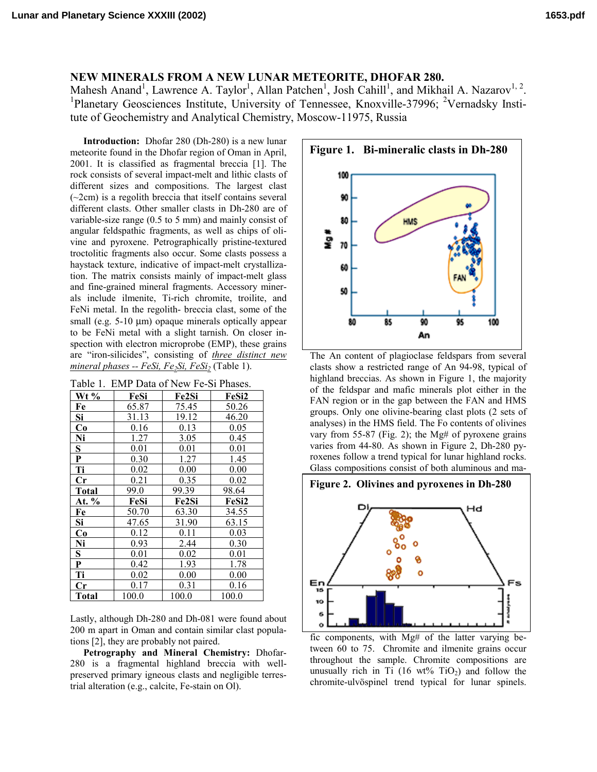## **NEW MINERALS FROM A NEW LUNAR METEORITE, DHOFAR 280.**

Mahesh Anand<sup>1</sup>, Lawrence A. Taylor<sup>1</sup>, Allan Patchen<sup>1</sup>, Josh Cahill<sup>1</sup>, and Mikhail A. Nazarov<sup>1, 2</sup>.<br><sup>1</sup> Planetary Geoscionees Institute, University of Tennessee, Knowville 27006; <sup>2</sup>Meradeley Insti Planetary Geosciences Institute, University of Tennessee, Knoxville-37996; <sup>2</sup>Vernadsky Institute of Geochemistry and Analytical Chemistry, Moscow-11975, Russia

**Introduction:** Dhofar 280 (Dh-280) is a new lunar meteorite found in the Dhofar region of Oman in April, 2001. It is classified as fragmental breccia [1]. The rock consists of several impact-melt and lithic clasts of different sizes and compositions. The largest clast (~2cm) is a regolith breccia that itself contains several different clasts. Other smaller clasts in Dh-280 are of variable-size range (0.5 to 5 mm) and mainly consist of angular feldspathic fragments, as well as chips of olivine and pyroxene. Petrographically pristine-textured troctolitic fragments also occur. Some clasts possess a haystack texture, indicative of impact-melt crystallization. The matrix consists mainly of impact-melt glass and fine-grained mineral fragments. Accessory minerals include ilmenite, Ti-rich chromite, troilite, and FeNi metal. In the regolith- breccia clast, some of the small (e.g. 5-10 µm) opaque minerals optically appear to be FeNi metal with a slight tarnish. On closer inspection with electron microprobe (EMP), these grains are "iron-silicides", consisting of *three distinct new*   $mineral phases - FeSi, Fe<sub>2</sub>Si, FeSi<sub>2</sub> (Table 1).$ 

| Table 1. EMP Data of New Fe-Si Phases. |       |       |       |
|----------------------------------------|-------|-------|-------|
| $Wt\%$                                 | FeSi  | Fe2Si | FeSi2 |
| Fe                                     | 65.87 | 75.45 | 50.26 |
| Si                                     | 31.13 | 19.12 | 46.20 |
| Co                                     | 0.16  | 0.13  | 0.05  |
| Ni                                     | 1.27  | 3.05  | 0.45  |
| $\overline{\mathbf{S}}$                | 0.01  | 0.01  | 0.01  |
| $\mathbf P$                            | 0.30  | 1.27  | 1.45  |
| Ti                                     | 0.02  | 0.00  | 0.00  |
| Cr                                     | 0.21  | 0.35  | 0.02  |
| <b>Total</b>                           | 99.0  | 99.39 | 98.64 |
| At. %                                  | FeSi  | Fe2Si | FeSi2 |
| Fe                                     | 50.70 | 63.30 | 34.55 |
| Si                                     | 47.65 | 31.90 | 63.15 |
| Co                                     | 0.12  | 0.11  | 0.03  |
| Ni                                     | 0.93  | 2.44  | 0.30  |
| $\overline{\mathbf{S}}$                | 0.01  | 0.02  | 0.01  |
| ${\bf P}$                              | 0.42  | 1.93  | 1.78  |
| Ti                                     | 0.02  | 0.00  | 0.00  |
| Cr                                     | 0.17  | 0.31  | 0.16  |
| <b>Total</b>                           | 100.0 | 100.0 | 100.0 |

Lastly, although Dh-280 and Dh-081 were found about 200 m apart in Oman and contain similar clast populations [2], they are probably not paired.

**Petrography and Mineral Chemistry:** Dhofar-280 is a fragmental highland breccia with wellpreserved primary igneous clasts and negligible terrestrial alteration (e.g., calcite, Fe-stain on Ol).



The An content of plagioclase feldspars from several clasts show a restricted range of An 94-98, typical of highland breccias. As shown in Figure 1, the majority of the feldspar and mafic minerals plot either in the FAN region or in the gap between the FAN and HMS groups. Only one olivine-bearing clast plots (2 sets of analyses) in the HMS field. The Fo contents of olivines vary from 55-87 (Fig. 2); the Mg# of pyroxene grains varies from 44-80. As shown in Figure 2, Dh-280 pyroxenes follow a trend typical for lunar highland rocks. Glass compositions consist of both aluminous and ma-



fic components, with Mg# of the latter varying between 60 to 75. Chromite and ilmenite grains occur throughout the sample. Chromite compositions are unusually rich in Ti (16 wt% TiO<sub>2</sub>) and follow the chromite-ulvöspinel trend typical for lunar spinels.